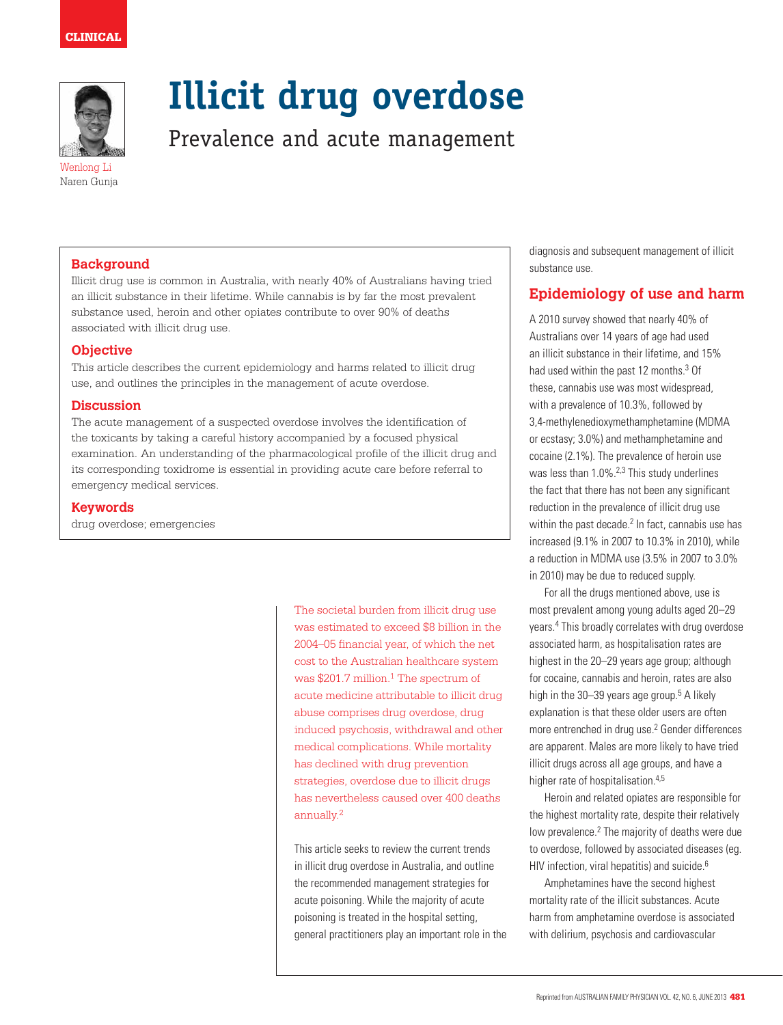

Wenlong Li Naren Gunja

# **Illicit drug overdose**

Prevalence and acute management

**Background**

Illicit drug use is common in Australia, with nearly 40% of Australians having tried an illicit substance in their lifetime. While cannabis is by far the most prevalent substance used, heroin and other opiates contribute to over 90% of deaths associated with illicit drug use.

## **Objective**

This article describes the current epidemiology and harms related to illicit drug use, and outlines the principles in the management of acute overdose.

#### **Discussion**

The acute management of a suspected overdose involves the identification of the toxicants by taking a careful history accompanied by a focused physical examination. An understanding of the pharmacological profile of the illicit drug and its corresponding toxidrome is essential in providing acute care before referral to emergency medical services.

### **Keywords**

drug overdose; emergencies

The societal burden from illicit drug use was estimated to exceed \$8 billion in the 2004–05 financial year, of which the net cost to the Australian healthcare system was  $$201.7$  million.<sup>1</sup> The spectrum of acute medicine attributable to illicit drug abuse comprises drug overdose, drug induced psychosis, withdrawal and other medical complications. While mortality has declined with drug prevention strategies, overdose due to illicit drugs has nevertheless caused over 400 deaths annually.2

This article seeks to review the current trends in illicit drug overdose in Australia, and outline the recommended management strategies for acute poisoning. While the majority of acute poisoning is treated in the hospital setting, general practitioners play an important role in the diagnosis and subsequent management of illicit substance use.

## **Epidemiology of use and harm**

A 2010 survey showed that nearly 40% of Australians over 14 years of age had used an illicit substance in their lifetime, and 15% had used within the past 12 months.<sup>3</sup> Of these, cannabis use was most widespread, with a prevalence of 10.3%, followed by 3,4-methylenedioxymethamphetamine (MDMA or ecstasy; 3.0%) and methamphetamine and cocaine (2.1%). The prevalence of heroin use was less than 1.0%.<sup>2,3</sup> This study underlines the fact that there has not been any significant reduction in the prevalence of illicit drug use within the past decade. $2$  In fact, cannabis use has increased (9.1% in 2007 to 10.3% in 2010), while a reduction in MDMA use (3.5% in 2007 to 3.0% in 2010) may be due to reduced supply.

For all the drugs mentioned above, use is most prevalent among young adults aged 20–29 years.4 This broadly correlates with drug overdose associated harm, as hospitalisation rates are highest in the 20–29 years age group; although for cocaine, cannabis and heroin, rates are also high in the 30–39 years age group.<sup>5</sup> A likely explanation is that these older users are often more entrenched in drug use.<sup>2</sup> Gender differences are apparent. Males are more likely to have tried illicit drugs across all age groups, and have a higher rate of hospitalisation.<sup>4,5</sup>

Heroin and related opiates are responsible for the highest mortality rate, despite their relatively low prevalence.<sup>2</sup> The majority of deaths were due to overdose, followed by associated diseases (eg. HIV infection, viral hepatitis) and suicide.<sup>6</sup>

Amphetamines have the second highest mortality rate of the illicit substances. Acute harm from amphetamine overdose is associated with delirium, psychosis and cardiovascular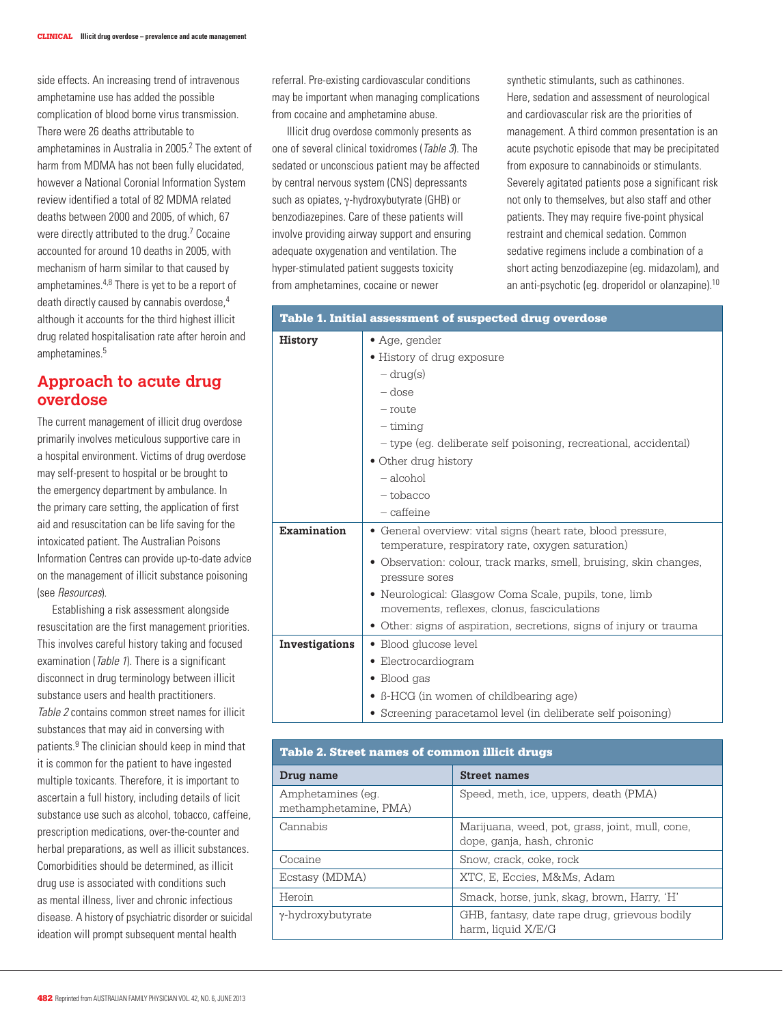side effects. An increasing trend of intravenous amphetamine use has added the possible complication of blood borne virus transmission. There were 26 deaths attributable to amphetamines in Australia in 2005.<sup>2</sup> The extent of harm from MDMA has not been fully elucidated, however a National Coronial Information System review identified a total of 82 MDMA related deaths between 2000 and 2005, of which, 67 were directly attributed to the drug.<sup>7</sup> Cocaine accounted for around 10 deaths in 2005, with mechanism of harm similar to that caused by amphetamines.4,8 There is yet to be a report of death directly caused by cannabis overdose,<sup>4</sup> although it accounts for the third highest illicit drug related hospitalisation rate after heroin and amphetamines.5

# **Approach to acute drug overdose**

The current management of illicit drug overdose primarily involves meticulous supportive care in a hospital environment. Victims of drug overdose may self-present to hospital or be brought to the emergency department by ambulance. In the primary care setting, the application of first aid and resuscitation can be life saving for the intoxicated patient. The Australian Poisons Information Centres can provide up-to-date advice on the management of illicit substance poisoning (see Resources).

Establishing a risk assessment alongside resuscitation are the first management priorities. This involves careful history taking and focused examination (Table 1). There is a significant disconnect in drug terminology between illicit substance users and health practitioners. Table 2 contains common street names for illicit substances that may aid in conversing with patients.9 The clinician should keep in mind that it is common for the patient to have ingested multiple toxicants. Therefore, it is important to ascertain a full history, including details of licit substance use such as alcohol, tobacco, caffeine, prescription medications, over-the-counter and herbal preparations, as well as illicit substances. Comorbidities should be determined, as illicit drug use is associated with conditions such as mental illness, liver and chronic infectious disease. A history of psychiatric disorder or suicidal ideation will prompt subsequent mental health

referral. Pre-existing cardiovascular conditions may be important when managing complications from cocaine and amphetamine abuse.

Illicit drug overdose commonly presents as one of several clinical toxidromes (Table 3). The sedated or unconscious patient may be affected by central nervous system (CNS) depressants such as opiates, γ-hydroxybutyrate (GHB) or benzodiazepines. Care of these patients will involve providing airway support and ensuring adequate oxygenation and ventilation. The hyper-stimulated patient suggests toxicity from amphetamines, cocaine or newer

synthetic stimulants, such as cathinones. Here, sedation and assessment of neurological and cardiovascular risk are the priorities of management. A third common presentation is an acute psychotic episode that may be precipitated from exposure to cannabinoids or stimulants. Severely agitated patients pose a significant risk not only to themselves, but also staff and other patients. They may require five-point physical restraint and chemical sedation. Common sedative regimens include a combination of a short acting benzodiazepine (eg. midazolam), and an anti-psychotic (eg. droperidol or olanzapine).10

| Table 1. Initial assessment of suspected drug overdose |                                                                                                                                                                                                                                                                                                                                                                                           |  |  |
|--------------------------------------------------------|-------------------------------------------------------------------------------------------------------------------------------------------------------------------------------------------------------------------------------------------------------------------------------------------------------------------------------------------------------------------------------------------|--|--|
| <b>History</b>                                         | • Age, gender<br>• History of drug exposure<br>$-\mathrm{drug}(s)$<br>$-\mathrm{dose}$<br>$-$ route<br>$-$ timing<br>- type (eg. deliberate self poisoning, recreational, accidental)<br>• Other drug history<br>- alcohol<br>$-$ tobacco<br>$-$ caffeine                                                                                                                                 |  |  |
| Examination                                            | • General overview: vital signs (heart rate, blood pressure,<br>temperature, respiratory rate, oxygen saturation)<br>• Observation: colour, track marks, smell, bruising, skin changes,<br>pressure sores<br>• Neurological: Glasgow Coma Scale, pupils, tone, limb<br>movements, reflexes, clonus, fasciculations<br>• Other: signs of aspiration, secretions, signs of injury or trauma |  |  |
| Investigations                                         | • Blood glucose level<br>· Electrocardiogram<br>Blood gas<br>• B-HCG (in women of childbearing age)<br>• Screening paracetamol level (in deliberate self poisoning)                                                                                                                                                                                                                       |  |  |

| <b>Table 2. Street names of common illicit drugs</b> |                                                                               |  |  |  |
|------------------------------------------------------|-------------------------------------------------------------------------------|--|--|--|
| Drug name                                            | <b>Street names</b>                                                           |  |  |  |
| Amphetamines (eq.<br>methamphetamine, PMA)           | Speed, meth, ice, uppers, death (PMA)                                         |  |  |  |
| Cannabis                                             | Marijuana, weed, pot, grass, joint, mull, cone,<br>dope, ganja, hash, chronic |  |  |  |
| Cocaine                                              | Snow, crack, coke, rock                                                       |  |  |  |
| Ecstasy (MDMA)                                       | XTC, E. Eccies, M&Ms, Adam                                                    |  |  |  |
| Heroin                                               | Smack, horse, junk, skag, brown, Harry, 'H'                                   |  |  |  |
| γ-hydroxybutyrate                                    | GHB, fantasy, date rape drug, grievous bodily<br>harm, liquid X/E/G           |  |  |  |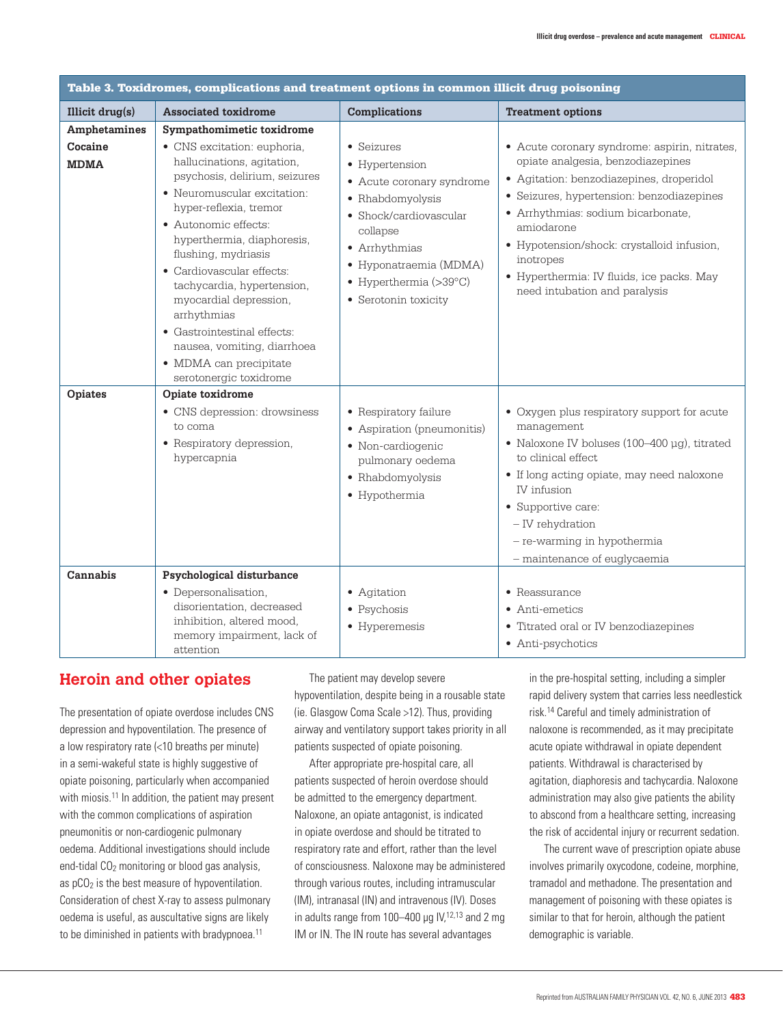| Table 3. Toxidromes, complications and treatment options in common illicit drug poisoning |                                                                                                                                                                                                                                                                                                                                                                                                                                                                                     |                                                                                                                                                                                                                                     |                                                                                                                                                                                                                                                                                                                                                                          |  |  |
|-------------------------------------------------------------------------------------------|-------------------------------------------------------------------------------------------------------------------------------------------------------------------------------------------------------------------------------------------------------------------------------------------------------------------------------------------------------------------------------------------------------------------------------------------------------------------------------------|-------------------------------------------------------------------------------------------------------------------------------------------------------------------------------------------------------------------------------------|--------------------------------------------------------------------------------------------------------------------------------------------------------------------------------------------------------------------------------------------------------------------------------------------------------------------------------------------------------------------------|--|--|
| Illicit drug(s)                                                                           | <b>Associated toxidrome</b>                                                                                                                                                                                                                                                                                                                                                                                                                                                         | <b>Complications</b>                                                                                                                                                                                                                | <b>Treatment options</b>                                                                                                                                                                                                                                                                                                                                                 |  |  |
| Amphetamines<br>Cocaine<br><b>MDMA</b>                                                    | Sympathomimetic toxidrome<br>• CNS excitation: euphoria,<br>hallucinations, agitation,<br>psychosis, delirium, seizures<br>• Neuromuscular excitation:<br>hyper-reflexia, tremor<br>• Autonomic effects:<br>hyperthermia, diaphoresis,<br>flushing, mydriasis<br>• Cardiovascular effects:<br>tachycardia, hypertension,<br>myocardial depression,<br>arrhythmias<br>• Gastrointestinal effects:<br>nausea, vomiting, diarrhoea<br>• MDMA can precipitate<br>serotonergic toxidrome | • Seizures<br>• Hypertension<br>• Acute coronary syndrome<br>• Rhabdomyolysis<br>• Shock/cardiovascular<br>collapse<br>• Arrhythmias<br>• Hyponatraemia (MDMA)<br>$\bullet$ Hyperthermia (>39 $^{\circ}$ C)<br>• Serotonin toxicity | • Acute coronary syndrome: aspirin, nitrates,<br>opiate analgesia, benzodiazepines<br>• Agitation: benzodiazepines, droperidol<br>· Seizures, hypertension: benzodiazepines<br>• Arrhythmias: sodium bicarbonate,<br>amiodarone<br>• Hypotension/shock: crystalloid infusion,<br>inotropes<br>· Hyperthermia: IV fluids, ice packs. May<br>need intubation and paralysis |  |  |
| Opiates<br>Cannabis                                                                       | Opiate toxidrome<br>• CNS depression: drowsiness<br>to coma<br>• Respiratory depression,<br>hypercapnia<br>Psychological disturbance                                                                                                                                                                                                                                                                                                                                                | • Respiratory failure<br>• Aspiration (pneumonitis)<br>• Non-cardiogenic<br>pulmonary oedema<br>• Rhabdomyolysis<br>• Hypothermia                                                                                                   | • Oxygen plus respiratory support for acute<br>management<br>• Naloxone IV boluses (100-400 µg), titrated<br>to clinical effect<br>• If long acting opiate, may need naloxone<br>IV infusion<br>• Supportive care:<br>- IV rehydration<br>- re-warming in hypothermia<br>- maintenance of euglycaemia                                                                    |  |  |
|                                                                                           | • Depersonalisation,<br>disorientation, decreased<br>inhibition, altered mood,<br>memory impairment, lack of<br>attention                                                                                                                                                                                                                                                                                                                                                           | • Agitation<br>• Psychosis<br>• Hyperemesis                                                                                                                                                                                         | $\bullet$ Reassurance<br>• Anti-emetics<br>• Titrated oral or IV benzodiazepines<br>• Anti-psychotics                                                                                                                                                                                                                                                                    |  |  |

# **Heroin and other opiates**

The presentation of opiate overdose includes CNS depression and hypoventilation. The presence of a low respiratory rate (<10 breaths per minute) in a semi-wakeful state is highly suggestive of opiate poisoning, particularly when accompanied with miosis.<sup>11</sup> In addition, the patient may present with the common complications of aspiration pneumonitis or non-cardiogenic pulmonary oedema. Additional investigations should include end-tidal  $CO<sub>2</sub>$  monitoring or blood gas analysis, as  $pCO<sub>2</sub>$  is the best measure of hypoventilation. Consideration of chest X-ray to assess pulmonary oedema is useful, as auscultative signs are likely to be diminished in patients with bradypnoea.<sup>11</sup>

The patient may develop severe hypoventilation, despite being in a rousable state (ie. Glasgow Coma Scale >12). Thus, providing airway and ventilatory support takes priority in all patients suspected of opiate poisoning.

After appropriate pre-hospital care, all patients suspected of heroin overdose should be admitted to the emergency department. Naloxone, an opiate antagonist, is indicated in opiate overdose and should be titrated to respiratory rate and effort, rather than the level of consciousness. Naloxone may be administered through various routes, including intramuscular (IM), intranasal (IN) and intravenous (IV). Doses in adults range from  $100-400$  µg IV,<sup>12,13</sup> and 2 mg IM or IN. The IN route has several advantages

in the pre-hospital setting, including a simpler rapid delivery system that carries less needlestick risk.14 Careful and timely administration of naloxone is recommended, as it may precipitate acute opiate withdrawal in opiate dependent patients. Withdrawal is characterised by agitation, diaphoresis and tachycardia. Naloxone administration may also give patients the ability to abscond from a healthcare setting, increasing the risk of accidental injury or recurrent sedation.

The current wave of prescription opiate abuse involves primarily oxycodone, codeine, morphine, tramadol and methadone. The presentation and management of poisoning with these opiates is similar to that for heroin, although the patient demographic is variable.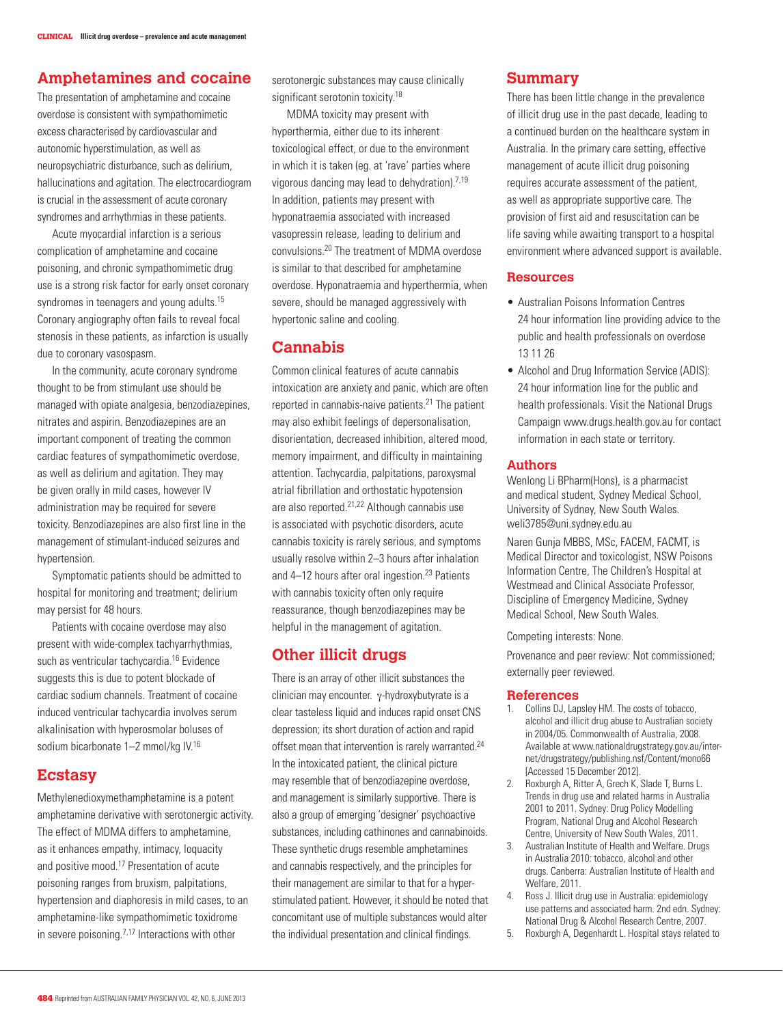## **Amphetamines and cocaine**

The presentation of amphetamine and cocaine overdose is consistent with sympathomimetic excess characterised by cardiovascular and autonomic hyperstimulation, as well as neuropsychiatric disturbance, such as delirium, hallucinations and agitation. The electrocardiogram is crucial in the assessment of acute coronary syndromes and arrhythmias in these patients.

Acute myocardial infarction is a serious complication of amphetamine and cocaine poisoning, and chronic sympathomimetic drug use is a strong risk factor for early onset coronary syndromes in teenagers and young adults.<sup>15</sup> Coronary angiography often fails to reveal focal stenosis in these patients, as infarction is usually due to coronary vasospasm.

In the community, acute coronary syndrome thought to be from stimulant use should be managed with opiate analgesia, benzodiazepines, nitrates and aspirin. Benzodiazepines are an important component of treating the common cardiac features of sympathomimetic overdose, as well as delirium and agitation. They may be given orally in mild cases, however IV administration may be required for severe toxicity. Benzodiazepines are also first line in the management of stimulant-induced seizures and hypertension.

Symptomatic patients should be admitted to hospital for monitoring and treatment; delirium may persist for 48 hours.

Patients with cocaine overdose may also present with wide-complex tachyarrhythmias, such as ventricular tachycardia.16 Evidence suggests this is due to potent blockade of cardiac sodium channels. Treatment of cocaine induced ventricular tachycardia involves serum alkalinisation with hyperosmolar boluses of sodium bicarbonate 1–2 mmol/kg IV.<sup>16</sup>

## **Ecstasy**

Methylenedioxymethamphetamine is a potent amphetamine derivative with serotonergic activity. The effect of MDMA differs to amphetamine, as it enhances empathy, intimacy, loquacity and positive mood.17 Presentation of acute poisoning ranges from bruxism, palpitations, hypertension and diaphoresis in mild cases, to an amphetamine-like sympathomimetic toxidrome in severe poisoning.<sup>7,17</sup> Interactions with other

serotonergic substances may cause clinically significant serotonin toxicity.<sup>18</sup>

MDMA toxicity may present with hyperthermia, either due to its inherent toxicological effect, or due to the environment in which it is taken (eg. at 'rave' parties where vigorous dancing may lead to dehydration).7,19 In addition, patients may present with hyponatraemia associated with increased vasopressin release, leading to delirium and convulsions.20 The treatment of MDMA overdose is similar to that described for amphetamine overdose. Hyponatraemia and hyperthermia, when severe, should be managed aggressively with hypertonic saline and cooling.

# **Cannabis**

Common clinical features of acute cannabis intoxication are anxiety and panic, which are often reported in cannabis-naive patients.<sup>21</sup> The patient may also exhibit feelings of depersonalisation, disorientation, decreased inhibition, altered mood, memory impairment, and difficulty in maintaining attention. Tachycardia, palpitations, paroxysmal atrial fibrillation and orthostatic hypotension are also reported.21,22 Although cannabis use is associated with psychotic disorders, acute cannabis toxicity is rarely serious, and symptoms usually resolve within 2–3 hours after inhalation and 4-12 hours after oral ingestion.<sup>23</sup> Patients with cannabis toxicity often only require reassurance, though benzodiazepines may be helpful in the management of agitation.

# **Other illicit drugs**

There is an array of other illicit substances the clinician may encounter. γ-hydroxybutyrate is a clear tasteless liquid and induces rapid onset CNS depression; its short duration of action and rapid offset mean that intervention is rarely warranted.<sup>24</sup> In the intoxicated patient, the clinical picture may resemble that of benzodiazepine overdose, and management is similarly supportive. There is also a group of emerging 'designer' psychoactive substances, including cathinones and cannabinoids. These synthetic drugs resemble amphetamines and cannabis respectively, and the principles for their management are similar to that for a hyperstimulated patient. However, it should be noted that concomitant use of multiple substances would alter the individual presentation and clinical findings.

## **Summary**

There has been little change in the prevalence of illicit drug use in the past decade, leading to a continued burden on the healthcare system in Australia. In the primary care setting, effective management of acute illicit drug poisoning requires accurate assessment of the patient, as well as appropriate supportive care. The provision of first aid and resuscitation can be life saving while awaiting transport to a hospital environment where advanced support is available.

#### **Resources**

- • Australian Poisons Information Centres 24 hour information line providing advice to the public and health professionals on overdose 13 11 26
- Alcohol and Drug Information Service (ADIS): 24 hour information line for the public and health professionals. Visit the National Drugs Campaign www.drugs.health.gov.au for contact information in each state or territory.

#### **Authors**

Wenlong Li BPharm(Hons), is a pharmacist and medical student, Sydney Medical School, University of Sydney, New South Wales. weli3785@uni.sydney.edu.au

Naren Gunja MBBS, MSc, FACEM, FACMT, is Medical Director and toxicologist, NSW Poisons Information Centre, The Children's Hospital at Westmead and Clinical Associate Professor, Discipline of Emergency Medicine, Sydney Medical School, New South Wales.

Competing interests: None.

Provenance and peer review: Not commissioned; externally peer reviewed.

#### **References**

- 1. Collins DJ, Lapsley HM. The costs of tobacco, alcohol and illicit drug abuse to Australian society in 2004/05. Commonwealth of Australia, 2008. Available at www.nationaldrugstrategy.gov.au/internet/drugstrategy/publishing.nsf/Content/mono66 [Accessed 15 December 2012].
- 2. Roxburgh A, Ritter A, Grech K, Slade T, Burns L. Trends in drug use and related harms in Australia 2001 to 2011. Sydney: Drug Policy Modelling Program, National Drug and Alcohol Research Centre, University of New South Wales, 2011.
- 3. Australian Institute of Health and Welfare. Drugs in Australia 2010: tobacco, alcohol and other drugs. Canberra: Australian Institute of Health and Welfare, 2011.
- 4. Ross J. Illicit drug use in Australia: epidemiology use patterns and associated harm. 2nd edn. Sydney: National Drug & Alcohol Research Centre, 2007.
- 5. Roxburgh A, Degenhardt L. Hospital stays related to